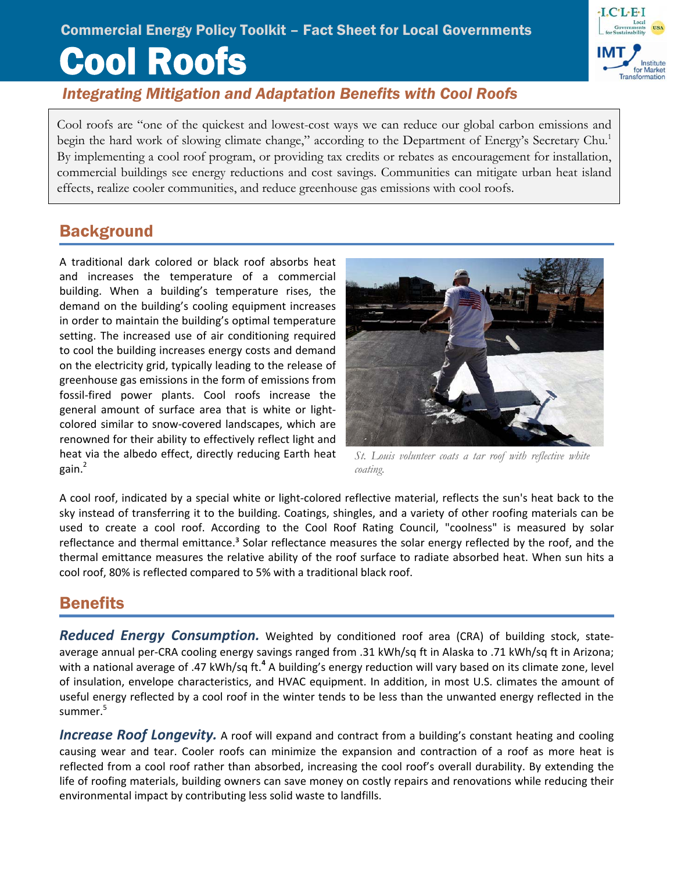# Cool Roofs Commercial Energy Policy Toolkit – Fact Sheet for Local Governments



Cool roofs are "one of the quickest and lowest-cost ways we can reduce our global carbon emissions and begin the hard work of slowing climate change," according to the Department of Energy's Secretary Chu.<sup>1</sup> By implementing a cool roof program, or providing tax credits or rebates as encouragement for installation, commercial buildings see energy reductions and cost savings. Communities can mitigate urban heat island effects, realize cooler communities, and reduce greenhouse gas emissions with cool roofs.

# **Background**

A traditional dark colored or black roof absorbs heat and increases the temperature of a commercial building. When a building's temperature rises, the demand on the building's cooling equipment increases in order to maintain the building's optimal temperature setting. The increased use of air conditioning required to cool the building increases energy costs and demand on the electricity grid, typically leading to the release of greenhouse gas emissions in the form of emissions from fossil‐fired power plants. Cool roofs increase the general amount of surface area that is white or light‐ colored similar to snow‐covered landscapes, which are renowned for their ability to effectively reflect light and heat via the albedo effect, directly reducing Earth heat gain.<sup>2</sup>



*St. Louis volunteer coats a tar roof with reflective white coating.* 

A cool roof, indicated by a special white or light‐colored reflective material, reflects the sun's heat back to the sky instead of transferring it to the building. Coatings, shingles, and a variety of other roofing materials can be used to create a cool roof. According to the Cool Roof Rating Council, "coolness" is measured by solar reflectance and thermal emittance.<sup>3</sup> Solar reflectance measures the solar energy reflected by the roof, and the thermal emittance measures the relative ability of the roof surface to radiate absorbed heat. When sun hits a cool roof, 80% is reflected compared to 5% with a traditional black roof.

## Benefits

*Reduced Energy Consumption.* Weighted by conditioned roof area (CRA) of building stock, state‐ average annual per‐CRA cooling energy savings ranged from .31 kWh/sq ft in Alaska to .71 kWh/sq ft in Arizona; with a national average of .47 kWh/sq ft.**<sup>4</sup>** A building's energy reduction will vary based on its climate zone, level of insulation, envelope characteristics, and HVAC equipment. In addition, in most U.S. climates the amount of useful energy reflected by a cool roof in the winter tends to be less than the unwanted energy reflected in the summer.<sup>5</sup>

*Increase Roof Longevity.* A roof will expand and contract from a building's constant heating and cooling causing wear and tear. Cooler roofs can minimize the expansion and contraction of a roof as more heat is reflected from a cool roof rather than absorbed, increasing the cool roof's overall durability. By extending the life of roofing materials, building owners can save money on costly repairs and renovations while reducing their environmental impact by contributing less solid waste to landfills.

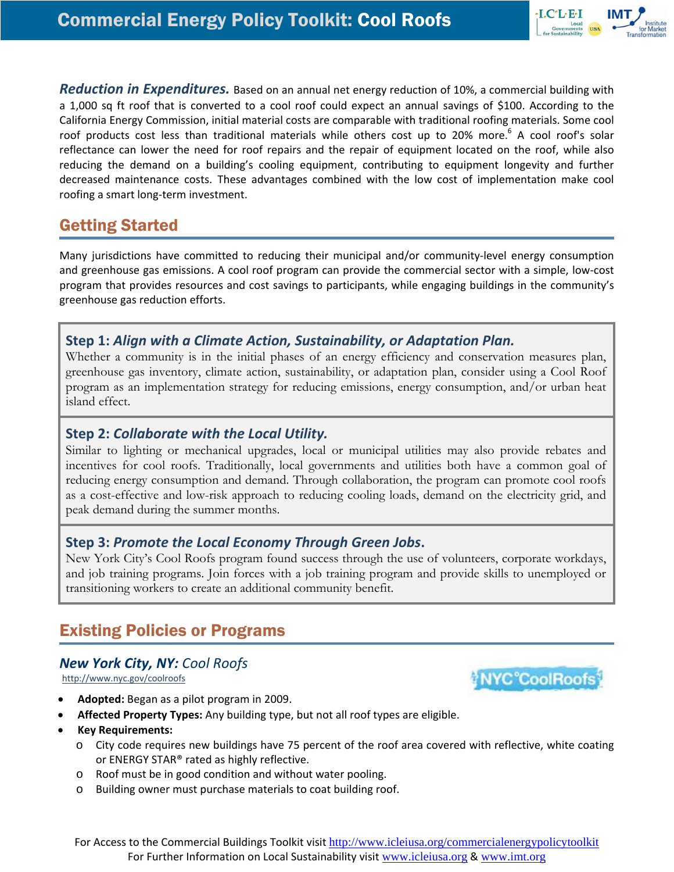

*Reduction in Expenditures.* Based on an annual net energy reduction of 10%, a commercial building with a 1,000 sq ft roof that is converted to a cool roof could expect an annual savings of \$100. According to the California Energy Commission, initial material costs are comparable with traditional roofing materials. Some cool roof products cost less than traditional materials while others cost up to 20% more.<sup>6</sup> A cool roof's solar reflectance can lower the need for roof repairs and the repair of equipment located on the roof, while also reducing the demand on a building's cooling equipment, contributing to equipment longevity and further decreased maintenance costs. These advantages combined with the low cost of implementation make cool roofing a smart long‐term investment.

# Getting Started

Many jurisdictions have committed to reducing their municipal and/or community-level energy consumption and greenhouse gas emissions. A cool roof program can provide the commercial sector with a simple, low‐cost program that provides resources and cost savings to participants, while engaging buildings in the community's greenhouse gas reduction efforts.

#### **Step 1:** *Align with a Climate Action, Sustainability, or Adaptation Plan.*

Whether a community is in the initial phases of an energy efficiency and conservation measures plan, greenhouse gas inventory, climate action, sustainability, or adaptation plan, consider using a Cool Roof program as an implementation strategy for reducing emissions, energy consumption, and/or urban heat island effect.

#### **Step 2:** *Collaborate with the Local Utility.*

Similar to lighting or mechanical upgrades, local or municipal utilities may also provide rebates and incentives for cool roofs. Traditionally, local governments and utilities both have a common goal of reducing energy consumption and demand. Through collaboration, the program can promote cool roofs as a cost-effective and low-risk approach to reducing cooling loads, demand on the electricity grid, and peak demand during the summer months.

#### **Step 3:** *Promote the Local Economy Through Green Jobs***.**

New York City's Cool Roofs program found success through the use of volunteers, corporate workdays, and job training programs. Join forces with a job training program and provide skills to unemployed or transitioning workers to create an additional community benefit.

# Existing Policies or Programs

#### *New York City, NY: Cool Roofs*

<http://www.nyc.gov/coolroofs>



- **Affected Property Types:** Any building type, but not all roof types are eligible.
- **Key Requirements:**
	- o City code requires new buildings have 75 percent of the roof area covered with reflective, white coating or ENERGY STAR® rated as highly reflective.
	- o Roof must be in good condition and without water pooling.
	- o Building owner must purchase materials to coat building roof.

For Access to the Commercial Buildings Toolkit visit http://www.icleiusa.org/commercialenergypolicytoolkit For Further Information on Local Sustainability visit www.icleiusa.org & www.imt.org

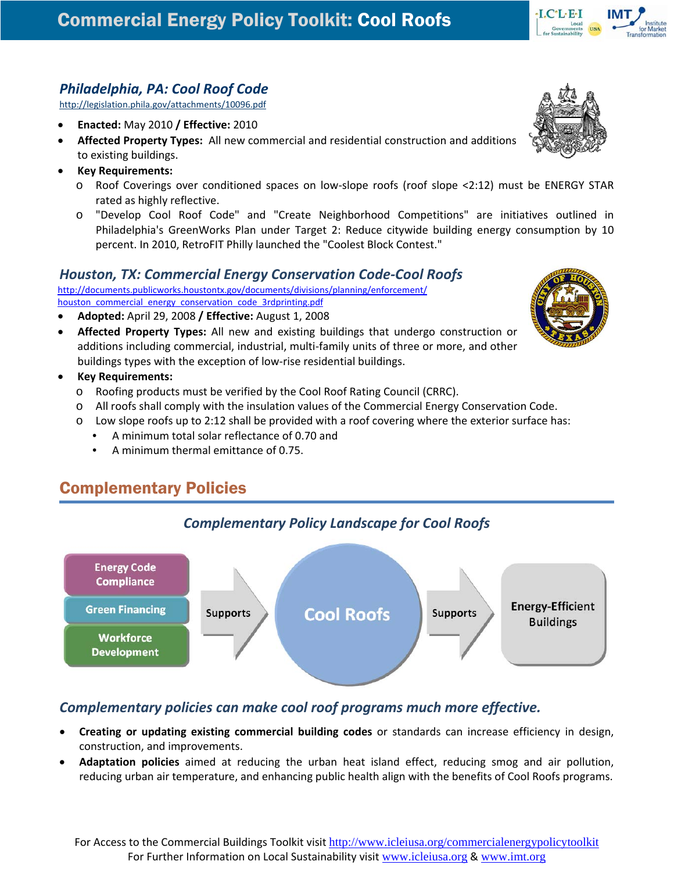### *Philadelphia, PA: Cool Roof Code*

<http://legislation.phila.gov/attachments/10096.pdf>

- **Enacted:** May 2010 **/ Effective:** 2010
- **Affected Property Types:** All new commercial and residential construction and additions to existing buildings.
- **Key Requirements:**
	- o Roof Coverings over conditioned spaces on low‐slope roofs (roof slope <2:12) must be ENERGY STAR rated as highly reflective.
	- o "Develop Cool Roof Code" and "Create Neighborhood Competitions" are initiatives outlined in Philadelphia's GreenWorks Plan under Target 2: Reduce citywide building energy consumption by 10 percent. In 2010, RetroFIT Philly launched the "Coolest Block Contest."

#### *Houston, TX: Commercial Energy Conservation Code‐Cool Roofs*

[http://documents.publicworks.houstontx.gov/documents/divisions/planning/enforcement/](http://documents.publicworks.houstontx.gov/documents/divisions/planning/enforcement/houston_commercial_energy_conservation_code_3rdprinting.pdf) houston commercial energy conservation code 3rdprinting.pdf

- **Adopted:** April 29, 2008 **/ Effective:** August 1, 2008
- **Affected Property Types:** All new and existing buildings that undergo construction or additions including commercial, industrial, multi-family units of three or more, and other buildings types with the exception of low‐rise residential buildings.
- **Key Requirements:**
	- o Roofing products must be verified by the Cool Roof Rating Council (CRRC).
	- o All roofs shall comply with the insulation values of the Commercial Energy Conservation Code.
	- o Low slope roofs up to 2:12 shall be provided with a roof covering where the exterior surface has:
		- A minimum total solar reflectance of 0.70 and
		- A minimum thermal emittance of 0.75.

# Complementary Policies



#### *Complementary policies can make cool roof programs much more effective.*

- **Creating or updating existing commercial building codes** or standards can increase efficiency in design, construction, and improvements.
- **Adaptation policies** aimed at reducing the urban heat island effect, reducing smog and air pollution, reducing urban air temperature, and enhancing public health align with the benefits of Cool Roofs programs.